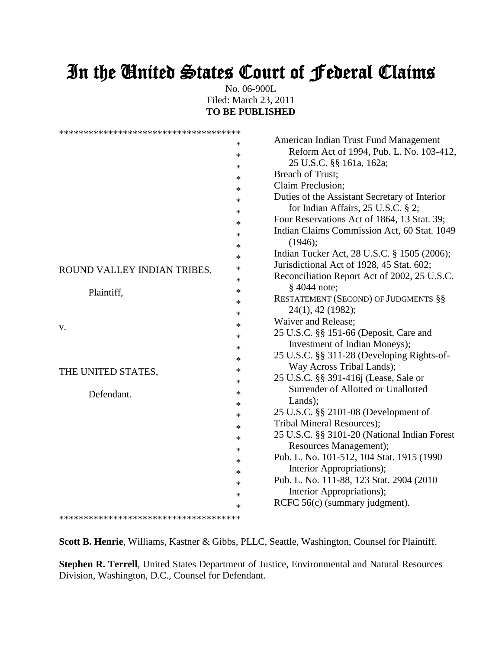# In the United States Court of Federal Claims

No. 06-900L Filed: March 23, 2011 **TO BE PUBLISHED**

|                             | *      | American Indian Trust Fund Management         |
|-----------------------------|--------|-----------------------------------------------|
|                             | $\ast$ | Reform Act of 1994, Pub. L. No. 103-412,      |
|                             | *      | 25 U.S.C. §§ 161a, 162a;                      |
|                             | *      | Breach of Trust;                              |
|                             | $\ast$ | Claim Preclusion;                             |
|                             | $\ast$ | Duties of the Assistant Secretary of Interior |
|                             | $\ast$ | for Indian Affairs, 25 U.S.C. § 2;            |
|                             | $\ast$ | Four Reservations Act of 1864, 13 Stat. 39;   |
|                             |        | Indian Claims Commission Act, 60 Stat. 1049   |
|                             | $\ast$ | (1946);                                       |
|                             | $\ast$ | Indian Tucker Act, 28 U.S.C. § 1505 (2006);   |
|                             | $\ast$ | Jurisdictional Act of 1928, 45 Stat. 602;     |
| ROUND VALLEY INDIAN TRIBES, | $\ast$ | Reconciliation Report Act of 2002, 25 U.S.C.  |
|                             | $\ast$ | $§$ 4044 note;                                |
| Plaintiff,                  | $\ast$ |                                               |
|                             | $\ast$ | RESTATEMENT (SECOND) OF JUDGMENTS §§          |
|                             | *      | 24(1), 42 (1982);                             |
| v.                          | $\ast$ | Waiver and Release;                           |
|                             | $\ast$ | 25 U.S.C. §§ 151-66 (Deposit, Care and        |
|                             | $\ast$ | Investment of Indian Moneys);                 |
|                             | $\ast$ | 25 U.S.C. §§ 311-28 (Developing Rights-of-    |
| THE UNITED STATES,          | $\ast$ | Way Across Tribal Lands);                     |
|                             | $\ast$ | 25 U.S.C. §§ 391-416j (Lease, Sale or         |
| Defendant.                  | $\ast$ | Surrender of Allotted or Unallotted           |
|                             | $\ast$ | Lands);                                       |
|                             | $\ast$ | 25 U.S.C. §§ 2101-08 (Development of          |
|                             | $\ast$ | Tribal Mineral Resources);                    |
|                             | $\ast$ | 25 U.S.C. §§ 3101-20 (National Indian Forest  |
|                             | $\ast$ | Resources Management);                        |
|                             | $\ast$ | Pub. L. No. 101-512, 104 Stat. 1915 (1990)    |
|                             |        | Interior Appropriations);                     |
|                             | $\ast$ | Pub. L. No. 111-88, 123 Stat. 2904 (2010)     |
|                             | $\ast$ | Interior Appropriations);                     |
|                             | $\ast$ | RCFC 56(c) (summary judgment).                |
|                             | $\ast$ |                                               |
|                             |        |                                               |

**Scott B. Henrie**, Williams, Kastner & Gibbs, PLLC, Seattle, Washington, Counsel for Plaintiff.

**Stephen R. Terrell**, United States Department of Justice, Environmental and Natural Resources Division, Washington, D.C., Counsel for Defendant.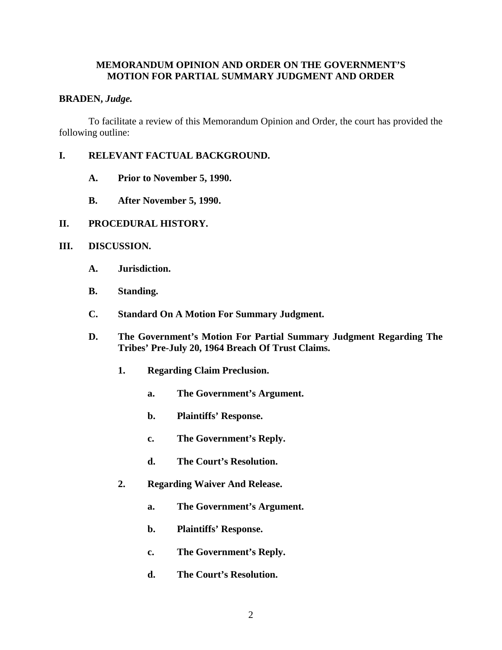## **MEMORANDUM OPINION AND ORDER ON THE GOVERNMENT'S MOTION FOR PARTIAL SUMMARY JUDGMENT AND ORDER**

#### **BRADEN,** *Judge.*

To facilitate a review of this Memorandum Opinion and Order, the court has provided the following outline:

- **I. RELEVANT FACTUAL BACKGROUND.**
	- **A. Prior to November 5, 1990.**
	- **B. After November 5, 1990.**
- **II. PROCEDURAL HISTORY.**
- **III. DISCUSSION.**
	- **A. Jurisdiction.**
	- **B. Standing.**
	- **C. Standard On A Motion For Summary Judgment.**
	- **D. The Government's Motion For Partial Summary Judgment Regarding The Tribes' Pre-July 20, 1964 Breach Of Trust Claims.**
		- **1. Regarding Claim Preclusion.**
			- **a. The Government's Argument.**
			- **b. Plaintiffs' Response.**
			- **c. The Government's Reply.**
			- **d. The Court's Resolution.**
		- **2. Regarding Waiver And Release.**
			- **a. The Government's Argument.**
			- **b. Plaintiffs' Response.**
			- **c. The Government's Reply.**
			- **d. The Court's Resolution.**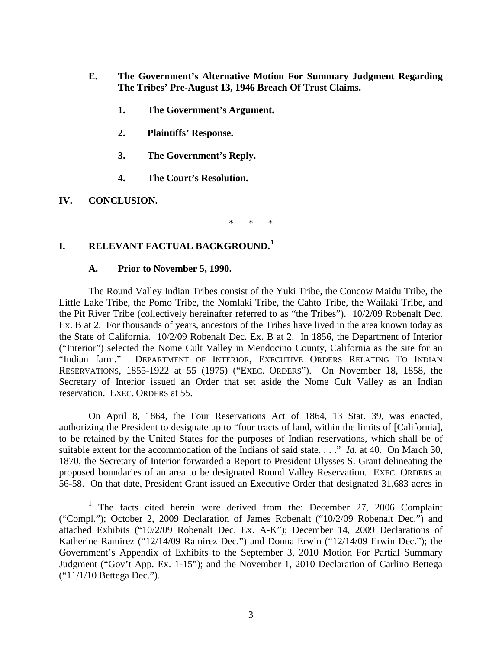- **E. The Government's Alternative Motion For Summary Judgment Regarding The Tribes' Pre-August 13, 1946 Breach Of Trust Claims.**
	- **1. The Government's Argument.**
	- **2. Plaintiffs' Response.**
	- **3. The Government's Reply.**
	- **4. The Court's Resolution.**
- **IV. CONCLUSION.**

\* \* \*

## **I. RELEVANT FACTUAL BACKGROUND.[1](#page-2-0)**

## **A. Prior to November 5, 1990.**

The Round Valley Indian Tribes consist of the Yuki Tribe, the Concow Maidu Tribe, the Little Lake Tribe, the Pomo Tribe, the Nomlaki Tribe, the Cahto Tribe, the Wailaki Tribe, and the Pit River Tribe (collectively hereinafter referred to as "the Tribes"). 10/2/09 Robenalt Dec. Ex. B at 2. For thousands of years, ancestors of the Tribes have lived in the area known today as the State of California. 10/2/09 Robenalt Dec. Ex. B at 2. In 1856, the Department of Interior ("Interior") selected the Nome Cult Valley in Mendocino County, California as the site for an DEPARTMENT OF INTERIOR, EXECUTIVE ORDERS RELATING TO INDIAN RESERVATIONS, 1855-1922 at 55 (1975) ("EXEC. ORDERS"). On November 18, 1858, the Secretary of Interior issued an Order that set aside the Nome Cult Valley as an Indian reservation. EXEC. ORDERS at 55.

On April 8, 1864, the Four Reservations Act of 1864, 13 Stat. 39, was enacted, authorizing the President to designate up to "four tracts of land, within the limits of [California], to be retained by the United States for the purposes of Indian reservations, which shall be of suitable extent for the accommodation of the Indians of said state. . . ." *Id*. at 40. On March 30, 1870, the Secretary of Interior forwarded a Report to President Ulysses S. Grant delineating the proposed boundaries of an area to be designated Round Valley Reservation. EXEC. ORDERS at 56-58. On that date, President Grant issued an Executive Order that designated 31,683 acres in

<span id="page-2-0"></span><sup>&</sup>lt;sup>1</sup> The facts cited herein were derived from the: December 27, 2006 Complaint ("Compl."); October 2, 2009 Declaration of James Robenalt ("10/2/09 Robenalt Dec.") and attached Exhibits ("10/2/09 Robenalt Dec. Ex. A-K"); December 14, 2009 Declarations of Katherine Ramirez ("12/14/09 Ramirez Dec.") and Donna Erwin ("12/14/09 Erwin Dec."); the Government's Appendix of Exhibits to the September 3, 2010 Motion For Partial Summary Judgment ("Gov't App. Ex. 1-15"); and the November 1, 2010 Declaration of Carlino Bettega ("11/1/10 Bettega Dec.").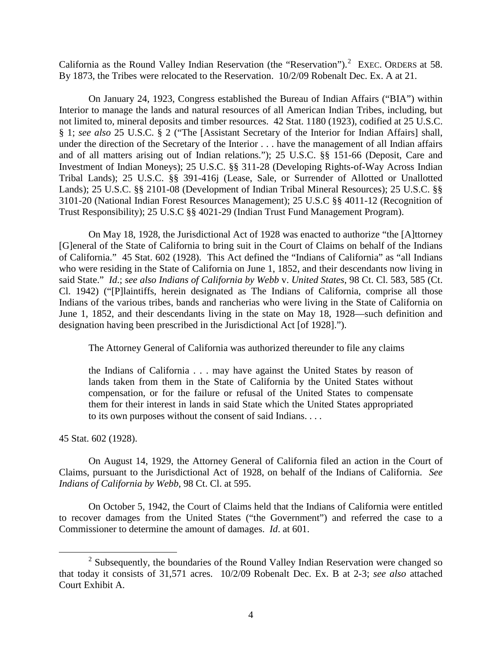California as the Round Valley Indian Reservation (the "Reservation").<sup>[2](#page-3-0)</sup> EXEC. ORDERS at 58. By 1873, the Tribes were relocated to the Reservation. 10/2/09 Robenalt Dec. Ex. A at 21.

On January 24, 1923, Congress established the Bureau of Indian Affairs ("BIA") within Interior to manage the lands and natural resources of all American Indian Tribes, including, but not limited to, mineral deposits and timber resources. 42 Stat. 1180 (1923), codified at 25 U.S.C. § 1; *see also* 25 U.S.C. § 2 ("The [Assistant Secretary of the Interior for Indian Affairs] shall, under the direction of the Secretary of the Interior . . . have the management of all Indian affairs and of all matters arising out of Indian relations."); 25 U.S.C. §§ 151-66 (Deposit, Care and Investment of Indian Moneys); 25 U.S.C. §§ 311-28 (Developing Rights-of-Way Across Indian Tribal Lands); 25 U.S.C. §§ 391-416j (Lease, Sale, or Surrender of Allotted or Unallotted Lands); 25 U.S.C. §§ 2101-08 (Development of Indian Tribal Mineral Resources); 25 U.S.C. §§ 3101-20 (National Indian Forest Resources Management); 25 U.S.C §§ 4011-12 (Recognition of Trust Responsibility); 25 U.S.C §§ 4021-29 (Indian Trust Fund Management Program).

On May 18, 1928, the Jurisdictional Act of 1928 was enacted to authorize "the [A]ttorney [G]eneral of the State of California to bring suit in the Court of Claims on behalf of the Indians of California." 45 Stat. 602 (1928). This Act defined the "Indians of California" as "all Indians who were residing in the State of California on June 1, 1852, and their descendants now living in said State." *Id*.; *see also Indians of California by Webb* v. *United States*, 98 Ct. Cl. 583, 585 (Ct. Cl. 1942) ("[P]laintiffs, herein designated as The Indians of California, comprise all those Indians of the various tribes, bands and rancherias who were living in the State of California on June 1, 1852, and their descendants living in the state on May 18, 1928—such definition and designation having been prescribed in the Jurisdictional Act [of 1928].").

The Attorney General of California was authorized thereunder to file any claims

the Indians of California . . . may have against the United States by reason of lands taken from them in the State of California by the United States without compensation, or for the failure or refusal of the United States to compensate them for their interest in lands in said State which the United States appropriated to its own purposes without the consent of said Indians. . . .

45 Stat. 602 (1928).

On August 14, 1929, the Attorney General of California filed an action in the Court of Claims, pursuant to the Jurisdictional Act of 1928, on behalf of the Indians of California. *See Indians of California by Webb*, 98 Ct. Cl. at 595.

On October 5, 1942, the Court of Claims held that the Indians of California were entitled to recover damages from the United States ("the Government") and referred the case to a Commissioner to determine the amount of damages. *Id*. at 601.

<span id="page-3-0"></span> $2$  Subsequently, the boundaries of the Round Valley Indian Reservation were changed so that today it consists of 31,571 acres. 10/2/09 Robenalt Dec. Ex. B at 2-3; *see also* attached Court Exhibit A.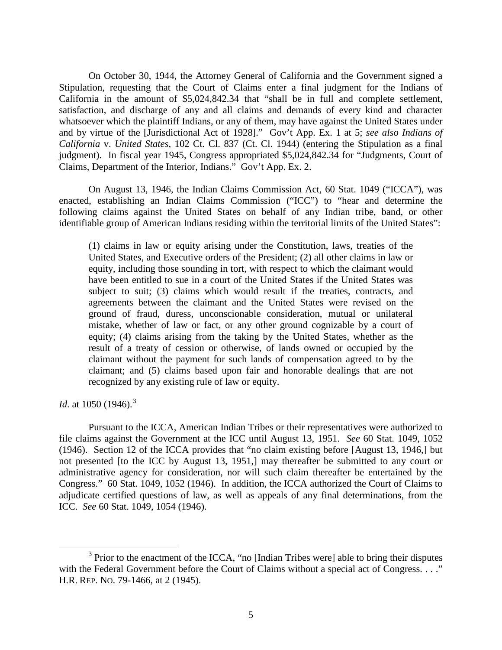On October 30, 1944, the Attorney General of California and the Government signed a Stipulation, requesting that the Court of Claims enter a final judgment for the Indians of California in the amount of \$5,024,842.34 that "shall be in full and complete settlement, satisfaction, and discharge of any and all claims and demands of every kind and character whatsoever which the plaintiff Indians, or any of them, may have against the United States under and by virtue of the [Jurisdictional Act of 1928]." Gov't App. Ex. 1 at 5; *see also Indians of California* v. *United States*, 102 Ct. Cl. 837 (Ct. Cl. 1944) (entering the Stipulation as a final judgment). In fiscal year 1945, Congress appropriated \$5,024,842.34 for "Judgments, Court of Claims, Department of the Interior, Indians." Gov't App. Ex. 2.

On August 13, 1946, the Indian Claims Commission Act, 60 Stat. 1049 ("ICCA"), was enacted, establishing an Indian Claims Commission ("ICC") to "hear and determine the following claims against the United States on behalf of any Indian tribe, band, or other identifiable group of American Indians residing within the territorial limits of the United States":

(1) claims in law or equity arising under the Constitution, laws, treaties of the United States, and Executive orders of the President; (2) all other claims in law or equity, including those sounding in tort, with respect to which the claimant would have been entitled to sue in a court of the United States if the United States was subject to suit; (3) claims which would result if the treaties, contracts, and agreements between the claimant and the United States were revised on the ground of fraud, duress, unconscionable consideration, mutual or unilateral mistake, whether of law or fact, or any other ground cognizable by a court of equity; (4) claims arising from the taking by the United States, whether as the result of a treaty of cession or otherwise, of lands owned or occupied by the claimant without the payment for such lands of compensation agreed to by the claimant; and (5) claims based upon fair and honorable dealings that are not recognized by any existing rule of law or equity.

*Id.* at 1050 (1946).<sup>[3](#page-4-0)</sup>

Pursuant to the ICCA, American Indian Tribes or their representatives were authorized to file claims against the Government at the ICC until August 13, 1951. *See* 60 Stat. 1049, 1052 (1946). Section 12 of the ICCA provides that "no claim existing before [August 13, 1946,] but not presented [to the ICC by August 13, 1951,] may thereafter be submitted to any court or administrative agency for consideration, nor will such claim thereafter be entertained by the Congress." 60 Stat. 1049, 1052 (1946). In addition, the ICCA authorized the Court of Claims to adjudicate certified questions of law, as well as appeals of any final determinations, from the ICC. *See* 60 Stat. 1049, 1054 (1946).

<span id="page-4-0"></span><sup>&</sup>lt;sup>3</sup> Prior to the enactment of the ICCA, "no [Indian Tribes were] able to bring their disputes with the Federal Government before the Court of Claims without a special act of Congress. . . ." H.R. REP. NO. 79-1466, at 2 (1945).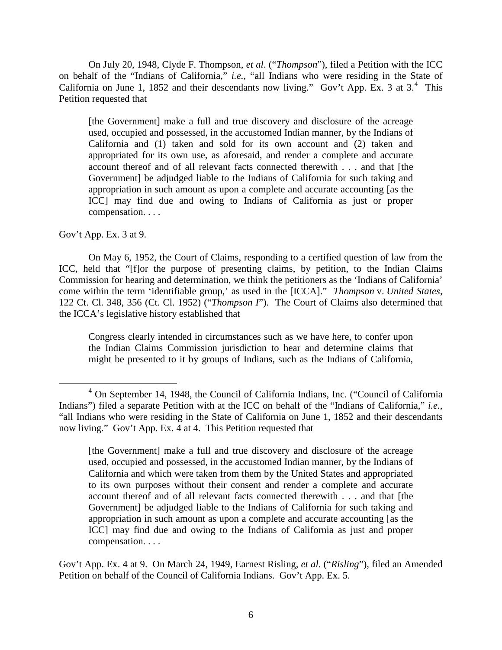On July 20, 1948, Clyde F. Thompson, *et al*. ("*Thompson*"), filed a Petition with the ICC on behalf of the "Indians of California," *i.e.*, "all Indians who were residing in the State of California on June 1, 1852 and their descendants now living." Gov't App. Ex. 3 at  $3.^4$  $3.^4$  This Petition requested that

[the Government] make a full and true discovery and disclosure of the acreage used, occupied and possessed, in the accustomed Indian manner, by the Indians of California and (1) taken and sold for its own account and (2) taken and appropriated for its own use, as aforesaid, and render a complete and accurate account thereof and of all relevant facts connected therewith . . . and that [the Government] be adjudged liable to the Indians of California for such taking and appropriation in such amount as upon a complete and accurate accounting [as the ICC] may find due and owing to Indians of California as just or proper compensation. . . .

Gov't App. Ex. 3 at 9.

On May 6, 1952, the Court of Claims, responding to a certified question of law from the ICC, held that "[f]or the purpose of presenting claims, by petition, to the Indian Claims Commission for hearing and determination, we think the petitioners as the 'Indians of California' come within the term 'identifiable group,' as used in the [ICCA]." *Thompson* v. *United States*, 122 Ct. Cl. 348, 356 (Ct. Cl. 1952) ("*Thompson I*"). The Court of Claims also determined that the ICCA's legislative history established that

Congress clearly intended in circumstances such as we have here, to confer upon the Indian Claims Commission jurisdiction to hear and determine claims that might be presented to it by groups of Indians, such as the Indians of California,

Gov't App. Ex. 4 at 9. On March 24, 1949, Earnest Risling, *et al*. ("*Risling*"), filed an Amended Petition on behalf of the Council of California Indians. Gov't App. Ex. 5.

<span id="page-5-0"></span> <sup>4</sup> On September 14, 1948, the Council of California Indians, Inc. ("Council of California Indians") filed a separate Petition with at the ICC on behalf of the "Indians of California," *i.e.*, "all Indians who were residing in the State of California on June 1, 1852 and their descendants now living." Gov't App. Ex. 4 at 4. This Petition requested that

<sup>[</sup>the Government] make a full and true discovery and disclosure of the acreage used, occupied and possessed, in the accustomed Indian manner, by the Indians of California and which were taken from them by the United States and appropriated to its own purposes without their consent and render a complete and accurate account thereof and of all relevant facts connected therewith . . . and that [the Government] be adjudged liable to the Indians of California for such taking and appropriation in such amount as upon a complete and accurate accounting [as the ICC] may find due and owing to the Indians of California as just and proper compensation. . . .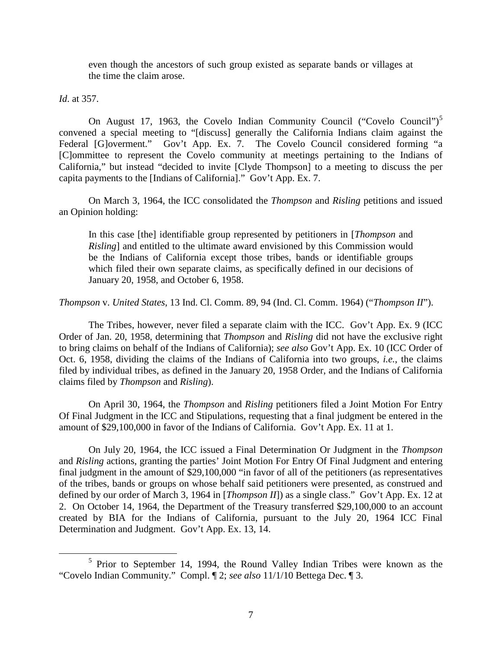even though the ancestors of such group existed as separate bands or villages at the time the claim arose.

*Id*. at 357.

On August 17, 1963, the Covelo Indian Community Council ("Covelo Council")<sup>[5](#page-6-0)</sup> convened a special meeting to "[discuss] generally the California Indians claim against the Federal [G]overment." Gov't App. Ex. 7. The Covelo Council considered forming "a [C]ommittee to represent the Covelo community at meetings pertaining to the Indians of California," but instead "decided to invite [Clyde Thompson] to a meeting to discuss the per capita payments to the [Indians of California]." Gov't App. Ex. 7.

On March 3, 1964, the ICC consolidated the *Thompson* and *Risling* petitions and issued an Opinion holding:

In this case [the] identifiable group represented by petitioners in [*Thompson* and *Risling*] and entitled to the ultimate award envisioned by this Commission would be the Indians of California except those tribes, bands or identifiable groups which filed their own separate claims, as specifically defined in our decisions of January 20, 1958, and October 6, 1958.

*Thompson* v. *United States*, 13 Ind. Cl. Comm. 89, 94 (Ind. Cl. Comm. 1964) ("*Thompson II*").

The Tribes, however, never filed a separate claim with the ICC. Gov't App. Ex. 9 (ICC Order of Jan. 20, 1958, determining that *Thompson* and *Risling* did not have the exclusive right to bring claims on behalf of the Indians of California); *see also* Gov't App. Ex. 10 (ICC Order of Oct. 6, 1958, dividing the claims of the Indians of California into two groups, *i.e.*, the claims filed by individual tribes, as defined in the January 20, 1958 Order, and the Indians of California claims filed by *Thompson* and *Risling*).

On April 30, 1964, the *Thompson* and *Risling* petitioners filed a Joint Motion For Entry Of Final Judgment in the ICC and Stipulations, requesting that a final judgment be entered in the amount of \$29,100,000 in favor of the Indians of California. Gov't App. Ex. 11 at 1.

On July 20, 1964, the ICC issued a Final Determination Or Judgment in the *Thompson*  and *Risling* actions, granting the parties' Joint Motion For Entry Of Final Judgment and entering final judgment in the amount of \$29,100,000 "in favor of all of the petitioners (as representatives of the tribes, bands or groups on whose behalf said petitioners were presented, as construed and defined by our order of March 3, 1964 in [*Thompson II*]) as a single class." Gov't App. Ex. 12 at 2. On October 14, 1964, the Department of the Treasury transferred \$29,100,000 to an account created by BIA for the Indians of California, pursuant to the July 20, 1964 ICC Final Determination and Judgment. Gov't App. Ex. 13, 14.

<span id="page-6-0"></span> <sup>5</sup> Prior to September 14, 1994, the Round Valley Indian Tribes were known as the "Covelo Indian Community." Compl. ¶ 2; *see also* 11/1/10 Bettega Dec. ¶ 3.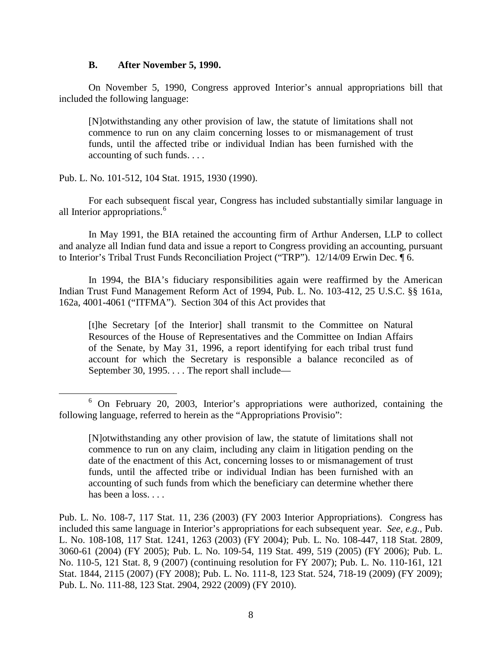## **B. After November 5, 1990.**

On November 5, 1990, Congress approved Interior's annual appropriations bill that included the following language:

[N]otwithstanding any other provision of law, the statute of limitations shall not commence to run on any claim concerning losses to or mismanagement of trust funds, until the affected tribe or individual Indian has been furnished with the accounting of such funds. . . .

Pub. L. No. 101-512, 104 Stat. 1915, 1930 (1990).

For each subsequent fiscal year, Congress has included substantially similar language in all Interior appropriations. [6](#page-7-0)

In May 1991, the BIA retained the accounting firm of Arthur Andersen, LLP to collect and analyze all Indian fund data and issue a report to Congress providing an accounting, pursuant to Interior's Tribal Trust Funds Reconciliation Project ("TRP"). 12/14/09 Erwin Dec. ¶ 6.

In 1994, the BIA's fiduciary responsibilities again were reaffirmed by the American Indian Trust Fund Management Reform Act of 1994, Pub. L. No. 103-412, 25 U.S.C. §§ 161a, 162a, 4001-4061 ("ITFMA"). Section 304 of this Act provides that

[t]he Secretary [of the Interior] shall transmit to the Committee on Natural Resources of the House of Representatives and the Committee on Indian Affairs of the Senate, by May 31, 1996, a report identifying for each tribal trust fund account for which the Secretary is responsible a balance reconciled as of September 30, 1995. . . . The report shall include—

<span id="page-7-0"></span> <sup>6</sup> On February 20, 2003, Interior's appropriations were authorized, containing the following language, referred to herein as the "Appropriations Provisio":

<sup>[</sup>N]otwithstanding any other provision of law, the statute of limitations shall not commence to run on any claim, including any claim in litigation pending on the date of the enactment of this Act, concerning losses to or mismanagement of trust funds, until the affected tribe or individual Indian has been furnished with an accounting of such funds from which the beneficiary can determine whether there has been a loss. . . .

Pub. L. No. 108-7, 117 Stat. 11, 236 (2003) (FY 2003 Interior Appropriations). Congress has included this same language in Interior's appropriations for each subsequent year. *See, e.g.,* Pub. L. No. 108-108, 117 Stat. 1241, 1263 (2003) (FY 2004); Pub. L. No. 108-447, 118 Stat. 2809, 3060-61 (2004) (FY 2005); Pub. L. No. 109-54, 119 Stat. 499, 519 (2005) (FY 2006); Pub. L. No. 110-5, 121 Stat. 8, 9 (2007) (continuing resolution for FY 2007); Pub. L. No. 110-161, 121 Stat. 1844, 2115 (2007) (FY 2008); Pub. L. No. 111-8, 123 Stat. 524, 718-19 (2009) (FY 2009); Pub. L. No. 111-88, 123 Stat. 2904, 2922 (2009) (FY 2010).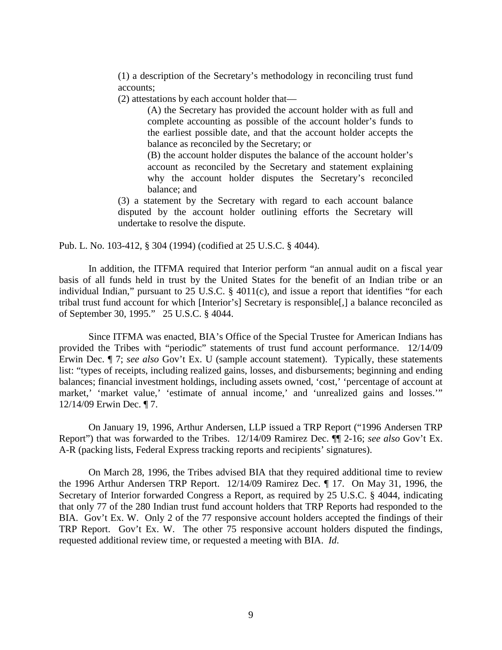(1) a description of the Secretary's methodology in reconciling trust fund accounts;

(2) attestations by each account holder that—

(A) the Secretary has provided the account holder with as full and complete accounting as possible of the account holder's funds to the earliest possible date, and that the account holder accepts the balance as reconciled by the Secretary; or

(B) the account holder disputes the balance of the account holder's account as reconciled by the Secretary and statement explaining why the account holder disputes the Secretary's reconciled balance; and

(3) a statement by the Secretary with regard to each account balance disputed by the account holder outlining efforts the Secretary will undertake to resolve the dispute.

Pub. L. No. 103-412, § 304 (1994) (codified at 25 U.S.C. § 4044).

In addition, the ITFMA required that Interior perform "an annual audit on a fiscal year basis of all funds held in trust by the United States for the benefit of an Indian tribe or an individual Indian," pursuant to 25 U.S.C. § 4011(c), and issue a report that identifies "for each tribal trust fund account for which [Interior's] Secretary is responsible[,] a balance reconciled as of September 30, 1995." 25 U.S.C. § 4044.

Since ITFMA was enacted, BIA's Office of the Special Trustee for American Indians has provided the Tribes with "periodic" statements of trust fund account performance. 12/14/09 Erwin Dec. ¶ 7; *see also* Gov't Ex. U (sample account statement). Typically, these statements list: "types of receipts, including realized gains, losses, and disbursements; beginning and ending balances; financial investment holdings, including assets owned, 'cost,' 'percentage of account at market,' 'market value,' 'estimate of annual income,' and 'unrealized gains and losses.'" 12/14/09 Erwin Dec. ¶ 7.

On January 19, 1996, Arthur Andersen, LLP issued a TRP Report ("1996 Andersen TRP Report") that was forwarded to the Tribes. 12/14/09 Ramirez Dec. ¶¶ 2-16; *see also* Gov't Ex. A-R (packing lists, Federal Express tracking reports and recipients' signatures).

On March 28, 1996, the Tribes advised BIA that they required additional time to review the 1996 Arthur Andersen TRP Report. 12/14/09 Ramirez Dec. ¶ 17. On May 31, 1996, the Secretary of Interior forwarded Congress a Report, as required by 25 U.S.C. § 4044, indicating that only 77 of the 280 Indian trust fund account holders that TRP Reports had responded to the BIA. Gov't Ex. W. Only 2 of the 77 responsive account holders accepted the findings of their TRP Report. Gov't Ex. W. The other 75 responsive account holders disputed the findings, requested additional review time, or requested a meeting with BIA. *Id*.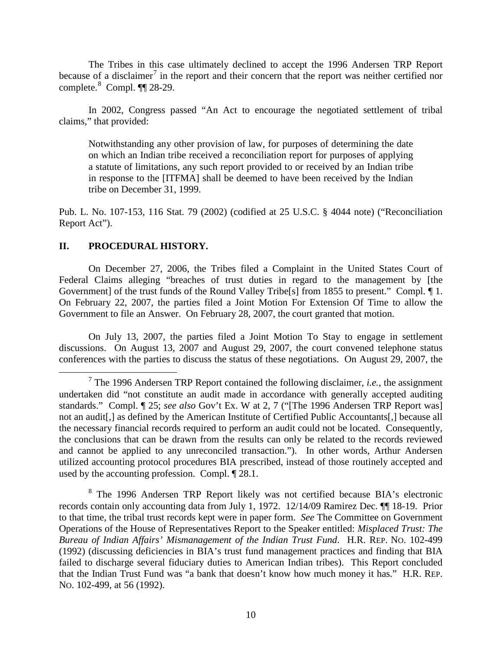The Tribes in this case ultimately declined to accept the 1996 Andersen TRP Report because of a disclaimer<sup>[7](#page-9-0)</sup> in the report and their concern that the report was neither certified nor complete. $8$  Compl. ¶[ 28-29.

In 2002, Congress passed "An Act to encourage the negotiated settlement of tribal claims," that provided:

Notwithstanding any other provision of law, for purposes of determining the date on which an Indian tribe received a reconciliation report for purposes of applying a statute of limitations, any such report provided to or received by an Indian tribe in response to the [ITFMA] shall be deemed to have been received by the Indian tribe on December 31, 1999.

Pub. L. No. 107-153, 116 Stat. 79 (2002) (codified at 25 U.S.C. § 4044 note) ("Reconciliation Report Act").

## **II. PROCEDURAL HISTORY.**

On December 27, 2006, the Tribes filed a Complaint in the United States Court of Federal Claims alleging "breaches of trust duties in regard to the management by [the Government] of the trust funds of the Round Valley Tribe<sup>[s]</sup> from 1855 to present." Compl. 1. On February 22, 2007, the parties filed a Joint Motion For Extension Of Time to allow the Government to file an Answer. On February 28, 2007, the court granted that motion.

On July 13, 2007, the parties filed a Joint Motion To Stay to engage in settlement discussions. On August 13, 2007 and August 29, 2007, the court convened telephone status conferences with the parties to discuss the status of these negotiations. On August 29, 2007, the

<span id="page-9-1"></span><sup>8</sup> The 1996 Andersen TRP Report likely was not certified because BIA's electronic records contain only accounting data from July 1, 1972. 12/14/09 Ramirez Dec. ¶¶ 18-19. Prior to that time, the tribal trust records kept were in paper form. *See* The Committee on Government Operations of the House of Representatives Report to the Speaker entitled: *Misplaced Trust: The Bureau of Indian Affairs' Mismanagement of the Indian Trust Fund*. H.R. REP. NO. 102-499 (1992) (discussing deficiencies in BIA's trust fund management practices and finding that BIA failed to discharge several fiduciary duties to American Indian tribes). This Report concluded that the Indian Trust Fund was "a bank that doesn't know how much money it has." H.R. REP. NO. 102-499, at 56 (1992).

<span id="page-9-0"></span> <sup>7</sup> The 1996 Andersen TRP Report contained the following disclaimer, *i.e.*, the assignment undertaken did "not constitute an audit made in accordance with generally accepted auditing standards." Compl. ¶ 25; *see also* Gov't Ex. W at 2, 7 ("[The 1996 Andersen TRP Report was] not an audit[,] as defined by the American Institute of Certified Public Accountants[,] because all the necessary financial records required to perform an audit could not be located. Consequently, the conclusions that can be drawn from the results can only be related to the records reviewed and cannot be applied to any unreconciled transaction."). In other words, Arthur Andersen utilized accounting protocol procedures BIA prescribed, instead of those routinely accepted and used by the accounting profession. Compl. ¶ 28.1.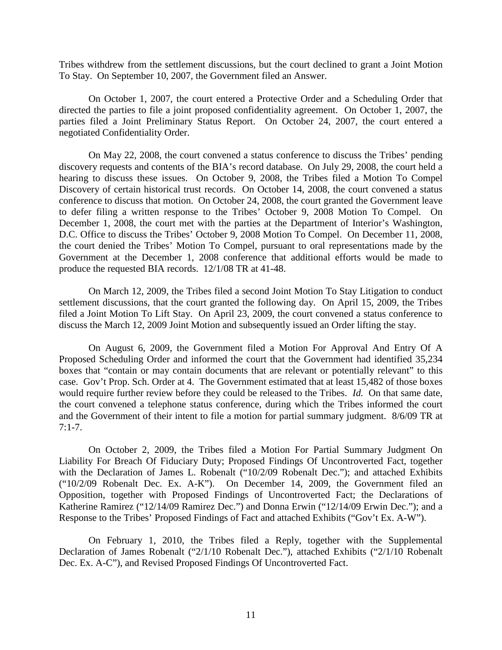Tribes withdrew from the settlement discussions, but the court declined to grant a Joint Motion To Stay. On September 10, 2007, the Government filed an Answer.

On October 1, 2007, the court entered a Protective Order and a Scheduling Order that directed the parties to file a joint proposed confidentiality agreement. On October 1, 2007, the parties filed a Joint Preliminary Status Report. On October 24, 2007, the court entered a negotiated Confidentiality Order.

On May 22, 2008, the court convened a status conference to discuss the Tribes' pending discovery requests and contents of the BIA's record database. On July 29, 2008, the court held a hearing to discuss these issues. On October 9, 2008, the Tribes filed a Motion To Compel Discovery of certain historical trust records. On October 14, 2008, the court convened a status conference to discuss that motion. On October 24, 2008, the court granted the Government leave to defer filing a written response to the Tribes' October 9, 2008 Motion To Compel. On December 1, 2008, the court met with the parties at the Department of Interior's Washington, D.C. Office to discuss the Tribes' October 9, 2008 Motion To Compel. On December 11, 2008, the court denied the Tribes' Motion To Compel, pursuant to oral representations made by the Government at the December 1, 2008 conference that additional efforts would be made to produce the requested BIA records. 12/1/08 TR at 41-48.

On March 12, 2009, the Tribes filed a second Joint Motion To Stay Litigation to conduct settlement discussions, that the court granted the following day. On April 15, 2009, the Tribes filed a Joint Motion To Lift Stay. On April 23, 2009, the court convened a status conference to discuss the March 12, 2009 Joint Motion and subsequently issued an Order lifting the stay.

On August 6, 2009, the Government filed a Motion For Approval And Entry Of A Proposed Scheduling Order and informed the court that the Government had identified 35,234 boxes that "contain or may contain documents that are relevant or potentially relevant" to this case. Gov't Prop. Sch. Order at 4. The Government estimated that at least 15,482 of those boxes would require further review before they could be released to the Tribes. *Id.* On that same date, the court convened a telephone status conference, during which the Tribes informed the court and the Government of their intent to file a motion for partial summary judgment. 8/6/09 TR at  $7:1 - 7$ .

On October 2, 2009, the Tribes filed a Motion For Partial Summary Judgment On Liability For Breach Of Fiduciary Duty; Proposed Findings Of Uncontroverted Fact, together with the Declaration of James L. Robenalt ("10/2/09 Robenalt Dec."); and attached Exhibits ("10/2/09 Robenalt Dec. Ex. A-K"). On December 14, 2009, the Government filed an Opposition, together with Proposed Findings of Uncontroverted Fact; the Declarations of Katherine Ramirez ("12/14/09 Ramirez Dec.") and Donna Erwin ("12/14/09 Erwin Dec."); and a Response to the Tribes' Proposed Findings of Fact and attached Exhibits ("Gov't Ex. A-W").

On February 1, 2010, the Tribes filed a Reply, together with the Supplemental Declaration of James Robenalt ("2/1/10 Robenalt Dec."), attached Exhibits ("2/1/10 Robenalt Dec. Ex. A-C"), and Revised Proposed Findings Of Uncontroverted Fact.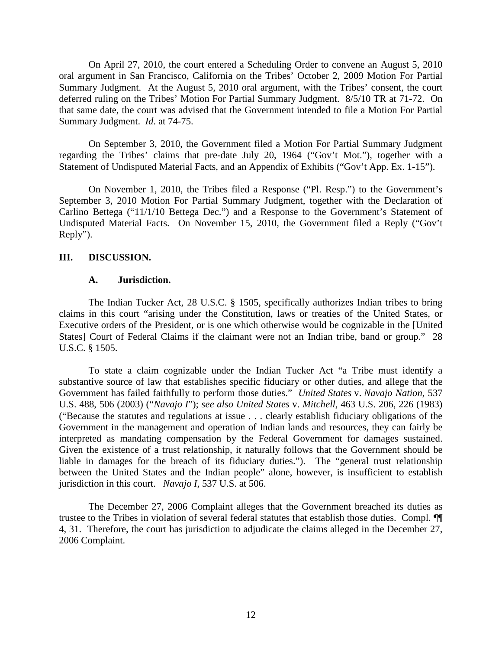On April 27, 2010, the court entered a Scheduling Order to convene an August 5, 2010 oral argument in San Francisco, California on the Tribes' October 2, 2009 Motion For Partial Summary Judgment. At the August 5, 2010 oral argument, with the Tribes' consent, the court deferred ruling on the Tribes' Motion For Partial Summary Judgment. 8/5/10 TR at 71-72. On that same date, the court was advised that the Government intended to file a Motion For Partial Summary Judgment. *Id*. at 74-75.

On September 3, 2010, the Government filed a Motion For Partial Summary Judgment regarding the Tribes' claims that pre-date July 20, 1964 ("Gov't Mot."), together with a Statement of Undisputed Material Facts, and an Appendix of Exhibits ("Gov't App. Ex. 1-15").

On November 1, 2010, the Tribes filed a Response ("Pl. Resp.") to the Government's September 3, 2010 Motion For Partial Summary Judgment, together with the Declaration of Carlino Bettega ("11/1/10 Bettega Dec.") and a Response to the Government's Statement of Undisputed Material Facts. On November 15, 2010, the Government filed a Reply ("Gov't Reply").

## **III. DISCUSSION.**

## **A. Jurisdiction.**

The Indian Tucker Act, 28 U.S.C. § 1505, specifically authorizes Indian tribes to bring claims in this court "arising under the Constitution, laws or treaties of the United States, or Executive orders of the President, or is one which otherwise would be cognizable in the [United States] Court of Federal Claims if the claimant were not an Indian tribe, band or group." 28 U.S.C. § 1505.

To state a claim cognizable under the Indian Tucker Act "a Tribe must identify a substantive source of law that establishes specific fiduciary or other duties, and allege that the Government has failed faithfully to perform those duties." *United States* v. *Navajo Nation*, 537 U.S. 488, 506 (2003) ("*Navajo I*"); *see also United States* v. *Mitchell*, 463 U.S. 206, 226 (1983) ("Because the statutes and regulations at issue . . . clearly establish fiduciary obligations of the Government in the management and operation of Indian lands and resources, they can fairly be interpreted as mandating compensation by the Federal Government for damages sustained. Given the existence of a trust relationship, it naturally follows that the Government should be liable in damages for the breach of its fiduciary duties."). The "general trust relationship between the United States and the Indian people" alone, however, is insufficient to establish jurisdiction in this court. *Navajo I*, 537 U.S. at 506.

The December 27, 2006 Complaint alleges that the Government breached its duties as trustee to the Tribes in violation of several federal statutes that establish those duties. Compl. ¶¶ 4, 31. Therefore, the court has jurisdiction to adjudicate the claims alleged in the December 27, 2006 Complaint.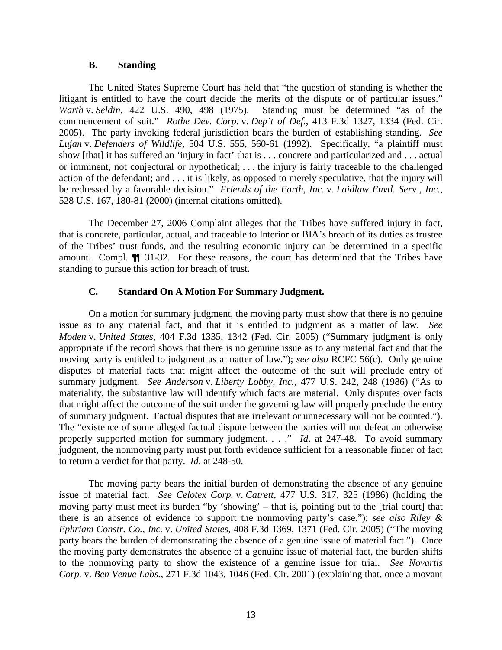## **B. Standing**

The United States Supreme Court has held that "the question of standing is whether the litigant is entitled to have the court decide the merits of the dispute or of particular issues."<br>Warth v. Seldin, 422 U.S. 490, 498 (1975). Standing must be determined "as of the *Warth* v. *Seldin*, 422 U.S. 490, 498 (1975). commencement of suit." *Rothe Dev. Corp.* v. *Dep't of Def.*, 413 F.3d 1327, 1334 (Fed. Cir. 2005). The party invoking federal jurisdiction bears the burden of establishing standing. *See Lujan* v. *Defenders of Wildlife*, 504 U.S. 555, 560-61 (1992). Specifically, "a plaintiff must show [that] it has suffered an 'injury in fact' that is . . . concrete and particularized and . . . actual or imminent, not conjectural or hypothetical; . . . the injury is fairly traceable to the challenged action of the defendant; and . . . it is likely, as opposed to merely speculative, that the injury will be redressed by a favorable decision." *Friends of the Earth, Inc*. v. *Laidlaw Envtl. Ser*v.*, Inc.*, 528 U.S. 167, 180-81 (2000) (internal citations omitted).

The December 27, 2006 Complaint alleges that the Tribes have suffered injury in fact, that is concrete, particular, actual, and traceable to Interior or BIA's breach of its duties as trustee of the Tribes' trust funds, and the resulting economic injury can be determined in a specific amount. Compl. ¶¶ 31-32. For these reasons, the court has determined that the Tribes have standing to pursue this action for breach of trust.

## **C. Standard On A Motion For Summary Judgment.**

On a motion for summary judgment, the moving party must show that there is no genuine issue as to any material fact, and that it is entitled to judgment as a matter of law. *See Moden* v. *United States*, 404 F.3d 1335, 1342 (Fed. Cir. 2005) ("Summary judgment is only appropriate if the record shows that there is no genuine issue as to any material fact and that the moving party is entitled to judgment as a matter of law."); *see also* RCFC 56(c). Only genuine disputes of material facts that might affect the outcome of the suit will preclude entry of summary judgment. *See Anderson* v. *Liberty Lobby, Inc.*, 477 U.S. 242, 248 (1986) ("As to materiality, the substantive law will identify which facts are material. Only disputes over facts that might affect the outcome of the suit under the governing law will properly preclude the entry of summary judgment. Factual disputes that are irrelevant or unnecessary will not be counted."). The "existence of some alleged factual dispute between the parties will not defeat an otherwise properly supported motion for summary judgment. . . ." *Id*. at 247-48. To avoid summary judgment, the nonmoving party must put forth evidence sufficient for a reasonable finder of fact to return a verdict for that party. *Id*. at 248-50.

The moving party bears the initial burden of demonstrating the absence of any genuine issue of material fact. *See Celotex Corp.* v. *Catrett*, 477 U.S. 317, 325 (1986) (holding the moving party must meet its burden "by 'showing' – that is, pointing out to the [trial court] that there is an absence of evidence to support the nonmoving party's case."); *see also Riley & Ephriam Constr. Co., Inc.* v. *United States*, 408 F.3d 1369, 1371 (Fed. Cir. 2005) ("The moving party bears the burden of demonstrating the absence of a genuine issue of material fact."). Once the moving party demonstrates the absence of a genuine issue of material fact, the burden shifts to the nonmoving party to show the existence of a genuine issue for trial. *See Novartis Corp.* v. *Ben Venue Labs.*, 271 F.3d 1043, 1046 (Fed. Cir. 2001) (explaining that, once a movant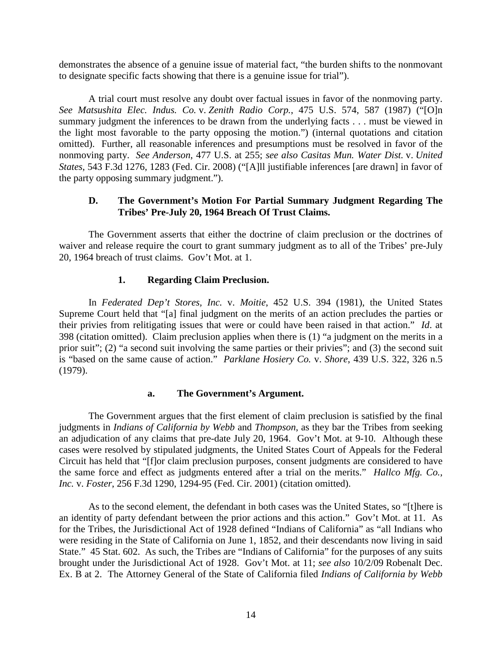demonstrates the absence of a genuine issue of material fact, "the burden shifts to the nonmovant to designate specific facts showing that there is a genuine issue for trial").

A trial court must resolve any doubt over factual issues in favor of the nonmoving party. *See Matsushita Elec. Indus. Co.* v. *Zenith Radio Corp.*, 475 U.S. 574, 587 (1987) ("[O]n summary judgment the inferences to be drawn from the underlying facts . . . must be viewed in the light most favorable to the party opposing the motion.") (internal quotations and citation omitted). Further, all reasonable inferences and presumptions must be resolved in favor of the nonmoving party. *See Anderson*, 477 U.S. at 255; *see also Casitas Mun. Water Dist.* v. *United States*, 543 F.3d 1276, 1283 (Fed. Cir. 2008) ("[A]ll justifiable inferences [are drawn] in favor of the party opposing summary judgment.").

## **D. The Government's Motion For Partial Summary Judgment Regarding The Tribes' Pre-July 20, 1964 Breach Of Trust Claims.**

The Government asserts that either the doctrine of claim preclusion or the doctrines of waiver and release require the court to grant summary judgment as to all of the Tribes' pre-July 20, 1964 breach of trust claims. Gov't Mot. at 1.

## **1. Regarding Claim Preclusion.**

In *Federated Dep't Stores, Inc.* v. *Moitie*, 452 U.S. 394 (1981), the United States Supreme Court held that "[a] final judgment on the merits of an action precludes the parties or their privies from relitigating issues that were or could have been raised in that action." *Id*. at 398 (citation omitted). Claim preclusion applies when there is (1) "a judgment on the merits in a prior suit"; (2) "a second suit involving the same parties or their privies"; and (3) the second suit is "based on the same cause of action." *Parklane Hosiery Co.* v. *Shore*, 439 U.S. 322, 326 n.5 (1979).

## **a. The Government's Argument.**

The Government argues that the first element of claim preclusion is satisfied by the final judgments in *Indians of California by Webb* and *Thompson*, as they bar the Tribes from seeking an adjudication of any claims that pre-date July 20, 1964. Gov't Mot. at 9-10. Although these cases were resolved by stipulated judgments, the United States Court of Appeals for the Federal Circuit has held that "[f]or claim preclusion purposes, consent judgments are considered to have the same force and effect as judgments entered after a trial on the merits." *Hallco Mfg. Co., Inc.* v. *Foster*, 256 F.3d 1290, 1294-95 (Fed. Cir. 2001) (citation omitted).

As to the second element, the defendant in both cases was the United States, so "[t]here is an identity of party defendant between the prior actions and this action." Gov't Mot. at 11. As for the Tribes, the Jurisdictional Act of 1928 defined "Indians of California" as "all Indians who were residing in the State of California on June 1, 1852, and their descendants now living in said State." 45 Stat. 602. As such, the Tribes are "Indians of California" for the purposes of any suits brought under the Jurisdictional Act of 1928. Gov't Mot. at 11; *see also* 10/2/09 Robenalt Dec. Ex. B at 2. The Attorney General of the State of California filed *Indians of California by Webb*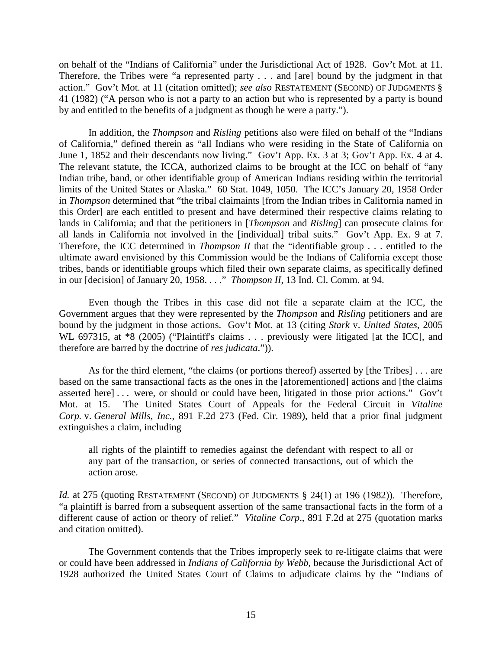on behalf of the "Indians of California" under the Jurisdictional Act of 1928. Gov't Mot. at 11. Therefore, the Tribes were "a represented party . . . and [are] bound by the judgment in that action." Gov't Mot. at 11 (citation omitted); *see also* RESTATEMENT (SECOND) OF JUDGMENTS § 41 (1982) ("A person who is not a party to an action but who is represented by a party is bound by and entitled to the benefits of a judgment as though he were a party.").

In addition, the *Thompson* and *Risling* petitions also were filed on behalf of the "Indians of California," defined therein as "all Indians who were residing in the State of California on June 1, 1852 and their descendants now living." Gov't App. Ex. 3 at 3; Gov't App. Ex. 4 at 4. The relevant statute, the ICCA, authorized claims to be brought at the ICC on behalf of "any Indian tribe, band, or other identifiable group of American Indians residing within the territorial limits of the United States or Alaska." 60 Stat. 1049, 1050. The ICC's January 20, 1958 Order in *Thompson* determined that "the tribal claimaints [from the Indian tribes in California named in this Order] are each entitled to present and have determined their respective claims relating to lands in California; and that the petitioners in [*Thompson* and *Risling*] can prosecute claims for all lands in California not involved in the [individual] tribal suits." Gov't App. Ex. 9 at 7. Therefore, the ICC determined in *Thompson II* that the "identifiable group . . . entitled to the ultimate award envisioned by this Commission would be the Indians of California except those tribes, bands or identifiable groups which filed their own separate claims, as specifically defined in our [decision] of January 20, 1958. . . ." *Thompson II*, 13 Ind. Cl. Comm. at 94.

Even though the Tribes in this case did not file a separate claim at the ICC, the Government argues that they were represented by the *Thompson* and *Risling* petitioners and are bound by the judgment in those actions. Gov't Mot. at 13 (citing *Stark* v. *United States*, 2005 WL 697315, at  $*8$  (2005) ("Plaintiff's claims . . . previously were litigated [at the ICC], and therefore are barred by the doctrine of *res judicata*.")).

As for the third element, "the claims (or portions thereof) asserted by [the Tribes] . . . are based on the same transactional facts as the ones in the [aforementioned] actions and [the claims asserted here] . . . were, or should or could have been, litigated in those prior actions." Gov't Mot. at 15. The United States Court of Appeals for the Federal Circuit in *Vitaline Corp.* v. *General Mills, Inc.*, 891 F.2d 273 (Fed. Cir. 1989), held that a prior final judgment extinguishes a claim, including

all rights of the plaintiff to remedies against the defendant with respect to all or any part of the transaction, or series of connected transactions, out of which the action arose.

*Id.* at 275 (quoting RESTATEMENT (SECOND) OF JUDGMENTS § 24(1) at 196 (1982)). Therefore, "a plaintiff is barred from a subsequent assertion of the same transactional facts in the form of a different cause of action or theory of relief." *Vitaline Corp*., 891 F.2d at 275 (quotation marks and citation omitted).

The Government contends that the Tribes improperly seek to re-litigate claims that were or could have been addressed in *Indians of California by Webb*, because the Jurisdictional Act of 1928 authorized the United States Court of Claims to adjudicate claims by the "Indians of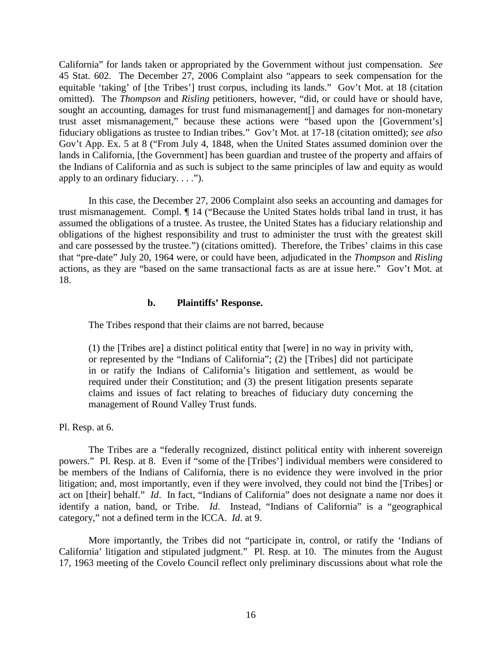California" for lands taken or appropriated by the Government without just compensation. *See*  45 Stat. 602. The December 27, 2006 Complaint also "appears to seek compensation for the equitable 'taking' of [the Tribes'] trust corpus, including its lands." Gov't Mot. at 18 (citation omitted). The *Thompson* and *Risling* petitioners, however, "did, or could have or should have, sought an accounting, damages for trust fund mismanagement<sup>[]</sup> and damages for non-monetary trust asset mismanagement," because these actions were "based upon the [Government's] fiduciary obligations as trustee to Indian tribes." Gov't Mot. at 17-18 (citation omitted); *see also* Gov't App. Ex. 5 at 8 ("From July 4, 1848, when the United States assumed dominion over the lands in California, [the Government] has been guardian and trustee of the property and affairs of the Indians of California and as such is subject to the same principles of law and equity as would apply to an ordinary fiduciary. . . .").

In this case, the December 27, 2006 Complaint also seeks an accounting and damages for trust mismanagement. Compl. ¶ 14 ("Because the United States holds tribal land in trust, it has assumed the obligations of a trustee. As trustee, the United States has a fiduciary relationship and obligations of the highest responsibility and trust to administer the trust with the greatest skill and care possessed by the trustee.") (citations omitted). Therefore, the Tribes' claims in this case that "pre-date" July 20, 1964 were, or could have been, adjudicated in the *Thompson* and *Risling* actions, as they are "based on the same transactional facts as are at issue here." Gov't Mot*.* at 18.

## **b. Plaintiffs' Response.**

The Tribes respond that their claims are not barred, because

(1) the [Tribes are] a distinct political entity that [were] in no way in privity with, or represented by the "Indians of California"; (2) the [Tribes] did not participate in or ratify the Indians of California's litigation and settlement, as would be required under their Constitution; and (3) the present litigation presents separate claims and issues of fact relating to breaches of fiduciary duty concerning the management of Round Valley Trust funds.

Pl. Resp. at 6.

The Tribes are a "federally recognized, distinct political entity with inherent sovereign powers." Pl. Resp. at 8. Even if "some of the [Tribes'] individual members were considered to be members of the Indians of California, there is no evidence they were involved in the prior litigation; and, most importantly, even if they were involved, they could not bind the [Tribes] or act on [their] behalf." *Id*. In fact, "Indians of California" does not designate a name nor does it identify a nation, band, or Tribe. *Id*. Instead, "Indians of California" is a "geographical category," not a defined term in the ICCA. *Id*. at 9.

More importantly, the Tribes did not "participate in, control, or ratify the 'Indians of California' litigation and stipulated judgment." Pl. Resp. at 10. The minutes from the August 17, 1963 meeting of the Covelo Council reflect only preliminary discussions about what role the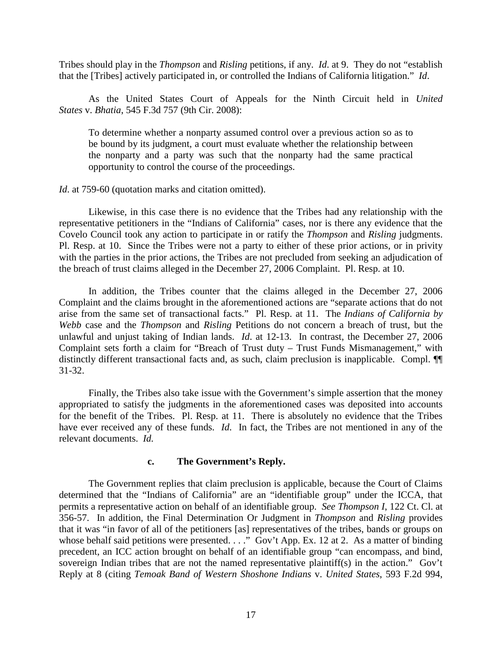Tribes should play in the *Thompson* and *Risling* petitions, if any. *Id*. at 9. They do not "establish that the [Tribes] actively participated in, or controlled the Indians of California litigation." *Id*.

As the United States Court of Appeals for the Ninth Circuit held in *United States* v. *Bhatia*, 545 F.3d 757 (9th Cir. 2008):

To determine whether a nonparty assumed control over a previous action so as to be bound by its judgment, a court must evaluate whether the relationship between the nonparty and a party was such that the nonparty had the same practical opportunity to control the course of the proceedings.

*Id*. at 759-60 (quotation marks and citation omitted).

Likewise, in this case there is no evidence that the Tribes had any relationship with the representative petitioners in the "Indians of California" cases, nor is there any evidence that the Covelo Council took any action to participate in or ratify the *Thompson* and *Risling* judgments. Pl. Resp. at 10. Since the Tribes were not a party to either of these prior actions, or in privity with the parties in the prior actions, the Tribes are not precluded from seeking an adjudication of the breach of trust claims alleged in the December 27, 2006 Complaint. Pl. Resp. at 10.

In addition, the Tribes counter that the claims alleged in the December 27, 2006 Complaint and the claims brought in the aforementioned actions are "separate actions that do not arise from the same set of transactional facts." Pl. Resp. at 11. The *Indians of California by Webb* case and the *Thompson* and *Risling* Petitions do not concern a breach of trust, but the unlawful and unjust taking of Indian lands. *Id*. at 12-13. In contrast, the December 27, 2006 Complaint sets forth a claim for "Breach of Trust duty – Trust Funds Mismanagement," with distinctly different transactional facts and, as such, claim preclusion is inapplicable. Compl. ¶¶ 31-32.

Finally, the Tribes also take issue with the Government's simple assertion that the money appropriated to satisfy the judgments in the aforementioned cases was deposited into accounts for the benefit of the Tribes. Pl. Resp. at 11. There is absolutely no evidence that the Tribes have ever received any of these funds. *Id*. In fact, the Tribes are not mentioned in any of the relevant documents. *Id.*

#### **c. The Government's Reply.**

The Government replies that claim preclusion is applicable, because the Court of Claims determined that the "Indians of California" are an "identifiable group" under the ICCA, that permits a representative action on behalf of an identifiable group. *See Thompson I*, 122 Ct. Cl. at 356-57. In addition, the Final Determination Or Judgment in *Thompson* and *Risling* provides that it was "in favor of all of the petitioners [as] representatives of the tribes, bands or groups on whose behalf said petitions were presented. . . ." Gov't App. Ex. 12 at 2. As a matter of binding precedent, an ICC action brought on behalf of an identifiable group "can encompass, and bind, sovereign Indian tribes that are not the named representative plaintiff(s) in the action." Gov't Reply at 8 (citing *Temoak Band of Western Shoshone Indians* v. *United States*, 593 F.2d 994,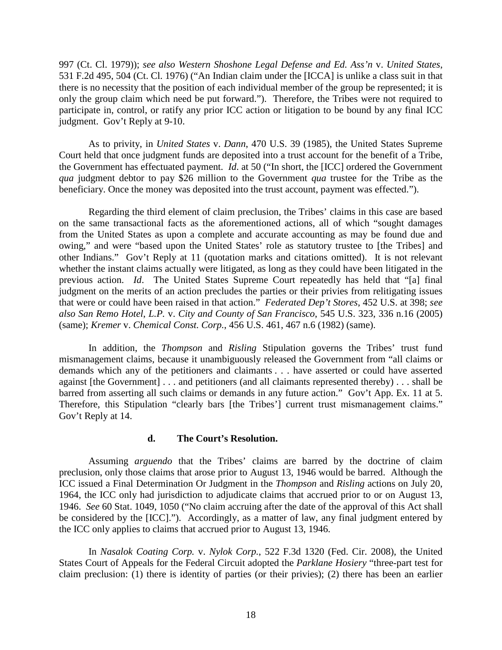997 (Ct. Cl. 1979)); *see also Western Shoshone Legal Defense and Ed. Ass'n* v. *United States*, 531 F.2d 495, 504 (Ct. Cl. 1976) ("An Indian claim under the [ICCA] is unlike a class suit in that there is no necessity that the position of each individual member of the group be represented; it is only the group claim which need be put forward."). Therefore, the Tribes were not required to participate in, control, or ratify any prior ICC action or litigation to be bound by any final ICC judgment. Gov't Reply at 9-10.

As to privity, in *United States* v. *Dann*, 470 U.S. 39 (1985), the United States Supreme Court held that once judgment funds are deposited into a trust account for the benefit of a Tribe, the Government has effectuated payment. *Id*. at 50 ("In short, the [ICC] ordered the Government *qua* judgment debtor to pay \$26 million to the Government *qua* trustee for the Tribe as the beneficiary. Once the money was deposited into the trust account, payment was effected.").

Regarding the third element of claim preclusion, the Tribes' claims in this case are based on the same transactional facts as the aforementioned actions, all of which "sought damages from the United States as upon a complete and accurate accounting as may be found due and owing," and were "based upon the United States' role as statutory trustee to [the Tribes] and other Indians." Gov't Reply at 11 (quotation marks and citations omitted). It is not relevant whether the instant claims actually were litigated, as long as they could have been litigated in the previous action. *Id*. The United States Supreme Court repeatedly has held that "[a] final judgment on the merits of an action precludes the parties or their privies from relitigating issues that were or could have been raised in that action." *Federated Dep't Stores*, 452 U.S. at 398; *see also San Remo Hotel*, *L.P.* v. *City and County of San Francisco*, 545 U.S. 323, 336 n.16 (2005) (same); *Kremer* v. *Chemical Const. Corp.*, 456 U.S. 461, 467 n.6 (1982) (same).

In addition, the *Thompson* and *Risling* Stipulation governs the Tribes' trust fund mismanagement claims, because it unambiguously released the Government from "all claims or demands which any of the petitioners and claimants . . . have asserted or could have asserted against [the Government] . . . and petitioners (and all claimants represented thereby) . . . shall be barred from asserting all such claims or demands in any future action." Gov't App. Ex. 11 at 5. Therefore, this Stipulation "clearly bars [the Tribes'] current trust mismanagement claims." Gov't Reply at 14.

#### **d. The Court's Resolution.**

Assuming *arguendo* that the Tribes' claims are barred by the doctrine of claim preclusion, only those claims that arose prior to August 13, 1946 would be barred. Although the ICC issued a Final Determination Or Judgment in the *Thompson* and *Risling* actions on July 20, 1964, the ICC only had jurisdiction to adjudicate claims that accrued prior to or on August 13, 1946. *See* 60 Stat. 1049, 1050 ("No claim accruing after the date of the approval of this Act shall be considered by the [ICC]."). Accordingly, as a matter of law, any final judgment entered by the ICC only applies to claims that accrued prior to August 13, 1946.

In *Nasalok Coating Corp.* v. *Nylok Corp.*, 522 F.3d 1320 (Fed. Cir. 2008), the United States Court of Appeals for the Federal Circuit adopted the *Parklane Hosiery* "three-part test for claim preclusion: (1) there is identity of parties (or their privies); (2) there has been an earlier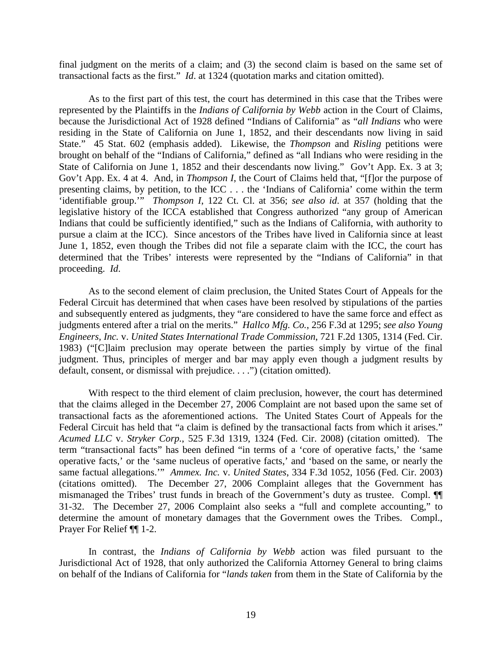final judgment on the merits of a claim; and (3) the second claim is based on the same set of transactional facts as the first." *Id*. at 1324 (quotation marks and citation omitted).

As to the first part of this test, the court has determined in this case that the Tribes were represented by the Plaintiffs in the *Indians of California by Webb* action in the Court of Claims, because the Jurisdictional Act of 1928 defined "Indians of California" as "*all Indians* who were residing in the State of California on June 1, 1852, and their descendants now living in said State." 45 Stat. 602 (emphasis added). Likewise, the *Thompson* and *Risling* petitions were brought on behalf of the "Indians of California," defined as "all Indians who were residing in the State of California on June 1, 1852 and their descendants now living." Gov't App. Ex. 3 at 3; Gov't App. Ex. 4 at 4. And, in *Thompson I*, the Court of Claims held that, "[f]or the purpose of presenting claims, by petition, to the ICC . . . the 'Indians of California' come within the term 'identifiable group.'" *Thompson I*, 122 Ct. Cl. at 356; *see also id*. at 357 (holding that the legislative history of the ICCA established that Congress authorized "any group of American Indians that could be sufficiently identified," such as the Indians of California, with authority to pursue a claim at the ICC). Since ancestors of the Tribes have lived in California since at least June 1, 1852, even though the Tribes did not file a separate claim with the ICC, the court has determined that the Tribes' interests were represented by the "Indians of California" in that proceeding. *Id*.

As to the second element of claim preclusion, the United States Court of Appeals for the Federal Circuit has determined that when cases have been resolved by stipulations of the parties and subsequently entered as judgments, they "are considered to have the same force and effect as judgments entered after a trial on the merits." *Hallco Mfg. Co.*, 256 F.3d at 1295; *see also Young Engineers, Inc.* v. *United States International Trade Commission*, 721 F.2d 1305, 1314 (Fed. Cir. 1983) ("[C]laim preclusion may operate between the parties simply by virtue of the final judgment. Thus, principles of merger and bar may apply even though a judgment results by default, consent, or dismissal with prejudice. . . .") (citation omitted).

With respect to the third element of claim preclusion, however, the court has determined that the claims alleged in the December 27, 2006 Complaint are not based upon the same set of transactional facts as the aforementioned actions. The United States Court of Appeals for the Federal Circuit has held that "a claim is defined by the transactional facts from which it arises." *Acumed LLC* v. *Stryker Corp.*, 525 F.3d 1319, 1324 (Fed. Cir. 2008) (citation omitted). The term "transactional facts" has been defined "in terms of a 'core of operative facts,' the 'same operative facts,' or the 'same nucleus of operative facts,' and 'based on the same, or nearly the same factual allegations.'" *Ammex. Inc.* v. *United States*, 334 F.3d 1052, 1056 (Fed. Cir. 2003) (citations omitted). The December 27, 2006 Complaint alleges that the Government has mismanaged the Tribes' trust funds in breach of the Government's duty as trustee. Compl. ¶¶ 31-32. The December 27, 2006 Complaint also seeks a "full and complete accounting," to determine the amount of monetary damages that the Government owes the Tribes. Compl., Prayer For Relief ¶¶ 1-2.

In contrast, the *Indians of California by Webb* action was filed pursuant to the Jurisdictional Act of 1928, that only authorized the California Attorney General to bring claims on behalf of the Indians of California for "*lands taken* from them in the State of California by the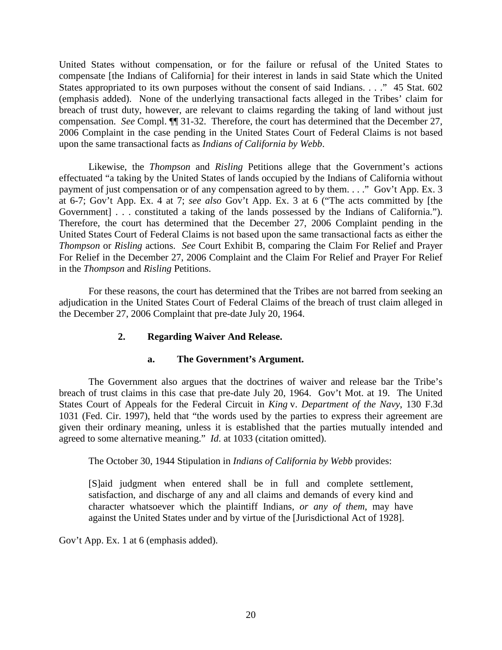United States without compensation, or for the failure or refusal of the United States to compensate [the Indians of California] for their interest in lands in said State which the United States appropriated to its own purposes without the consent of said Indians. . . . "45 Stat. 602 (emphasis added). None of the underlying transactional facts alleged in the Tribes' claim for breach of trust duty, however, are relevant to claims regarding the taking of land without just compensation. *See* Compl. ¶¶ 31-32. Therefore, the court has determined that the December 27, 2006 Complaint in the case pending in the United States Court of Federal Claims is not based upon the same transactional facts as *Indians of California by Webb*.

Likewise, the *Thompson* and *Risling* Petitions allege that the Government's actions effectuated "a taking by the United States of lands occupied by the Indians of California without payment of just compensation or of any compensation agreed to by them. . . ." Gov't App. Ex. 3 at 6-7; Gov't App. Ex. 4 at 7; *see also* Gov't App. Ex. 3 at 6 ("The acts committed by [the Government] . . . constituted a taking of the lands possessed by the Indians of California."). Therefore, the court has determined that the December 27, 2006 Complaint pending in the United States Court of Federal Claims is not based upon the same transactional facts as either the *Thompson* or *Risling* actions. *See* Court Exhibit B, comparing the Claim For Relief and Prayer For Relief in the December 27, 2006 Complaint and the Claim For Relief and Prayer For Relief in the *Thompson* and *Risling* Petitions.

For these reasons, the court has determined that the Tribes are not barred from seeking an adjudication in the United States Court of Federal Claims of the breach of trust claim alleged in the December 27, 2006 Complaint that pre-date July 20, 1964.

## **2. Regarding Waiver And Release.**

## **a. The Government's Argument.**

The Government also argues that the doctrines of waiver and release bar the Tribe's breach of trust claims in this case that pre-date July 20, 1964. Gov't Mot. at 19. The United States Court of Appeals for the Federal Circuit in *King* v. *Department of the Navy*, 130 F.3d 1031 (Fed. Cir. 1997), held that "the words used by the parties to express their agreement are given their ordinary meaning, unless it is established that the parties mutually intended and agreed to some alternative meaning." *Id*. at 1033 (citation omitted).

The October 30, 1944 Stipulation in *Indians of California by Webb* provides:

[S]aid judgment when entered shall be in full and complete settlement, satisfaction, and discharge of any and all claims and demands of every kind and character whatsoever which the plaintiff Indians, *or any of them*, may have against the United States under and by virtue of the [Jurisdictional Act of 1928].

Gov't App. Ex. 1 at 6 (emphasis added).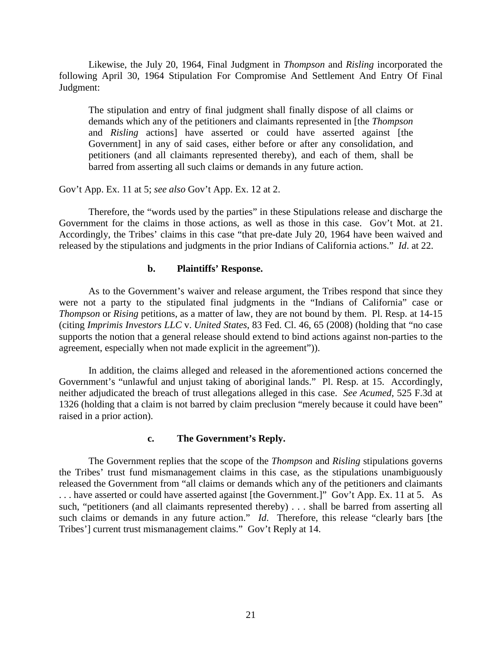Likewise, the July 20, 1964, Final Judgment in *Thompson* and *Risling* incorporated the following April 30, 1964 Stipulation For Compromise And Settlement And Entry Of Final Judgment:

The stipulation and entry of final judgment shall finally dispose of all claims or demands which any of the petitioners and claimants represented in [the *Thompson*  and *Risling* actions] have asserted or could have asserted against [the Government] in any of said cases, either before or after any consolidation, and petitioners (and all claimants represented thereby), and each of them, shall be barred from asserting all such claims or demands in any future action.

Gov't App. Ex. 11 at 5; *see also* Gov't App. Ex. 12 at 2.

Therefore, the "words used by the parties" in these Stipulations release and discharge the Government for the claims in those actions, as well as those in this case. Gov't Mot. at 21. Accordingly, the Tribes' claims in this case "that pre-date July 20, 1964 have been waived and released by the stipulations and judgments in the prior Indians of California actions." *Id*. at 22.

## **b. Plaintiffs' Response.**

As to the Government's waiver and release argument, the Tribes respond that since they were not a party to the stipulated final judgments in the "Indians of California" case or *Thompson* or *Rising* petitions, as a matter of law, they are not bound by them. Pl. Resp. at 14-15 (citing *Imprimis Investors LLC* v. *United States*, 83 Fed. Cl. 46, 65 (2008) (holding that "no case supports the notion that a general release should extend to bind actions against non-parties to the agreement, especially when not made explicit in the agreement")).

In addition, the claims alleged and released in the aforementioned actions concerned the Government's "unlawful and unjust taking of aboriginal lands." Pl. Resp. at 15. Accordingly, neither adjudicated the breach of trust allegations alleged in this case. *See Acumed*, 525 F.3d at 1326 (holding that a claim is not barred by claim preclusion "merely because it could have been" raised in a prior action).

#### **c. The Government's Reply.**

The Government replies that the scope of the *Thompson* and *Risling* stipulations governs the Tribes' trust fund mismanagement claims in this case, as the stipulations unambiguously released the Government from "all claims or demands which any of the petitioners and claimants . . . have asserted or could have asserted against [the Government.]" Gov't App. Ex. 11 at 5. As such, "petitioners (and all claimants represented thereby) . . . shall be barred from asserting all such claims or demands in any future action." *Id*. Therefore, this release "clearly bars [the Tribes'] current trust mismanagement claims." Gov't Reply at 14.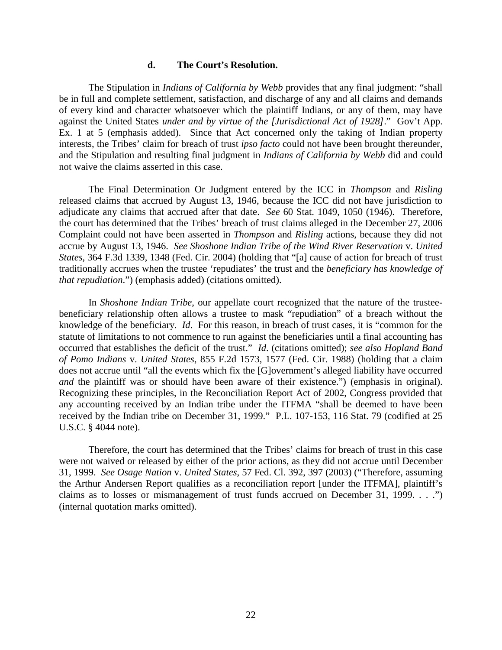#### **d. The Court's Resolution.**

The Stipulation in *Indians of California by Webb* provides that any final judgment: "shall be in full and complete settlement, satisfaction, and discharge of any and all claims and demands of every kind and character whatsoever which the plaintiff Indians, or any of them, may have against the United States *under and by virtue of the [Jurisdictional Act of 1928]*." Gov't App. Ex. 1 at 5 (emphasis added). Since that Act concerned only the taking of Indian property interests, the Tribes' claim for breach of trust *ipso facto* could not have been brought thereunder, and the Stipulation and resulting final judgment in *Indians of California by Webb* did and could not waive the claims asserted in this case.

The Final Determination Or Judgment entered by the ICC in *Thompson* and *Risling* released claims that accrued by August 13, 1946, because the ICC did not have jurisdiction to adjudicate any claims that accrued after that date. *See* 60 Stat. 1049, 1050 (1946). Therefore, the court has determined that the Tribes' breach of trust claims alleged in the December 27, 2006 Complaint could not have been asserted in *Thompson* and *Risling* actions, because they did not accrue by August 13, 1946. *See Shoshone Indian Tribe of the Wind River Reservation* v. *United States*, 364 F.3d 1339, 1348 (Fed. Cir. 2004) (holding that "[a] cause of action for breach of trust traditionally accrues when the trustee 'repudiates' the trust and the *beneficiary has knowledge of that repudiation*.") (emphasis added) (citations omitted).

In *Shoshone Indian Tribe*, our appellate court recognized that the nature of the trusteebeneficiary relationship often allows a trustee to mask "repudiation" of a breach without the knowledge of the beneficiary. *Id*. For this reason, in breach of trust cases, it is "common for the statute of limitations to not commence to run against the beneficiaries until a final accounting has occurred that establishes the deficit of the trust." *Id*. (citations omitted); *see also Hopland Band of Pomo Indians* v. *United States*, 855 F.2d 1573, 1577 (Fed. Cir. 1988) (holding that a claim does not accrue until "all the events which fix the [G]overnment's alleged liability have occurred *and* the plaintiff was or should have been aware of their existence.") (emphasis in original). Recognizing these principles, in the Reconciliation Report Act of 2002, Congress provided that any accounting received by an Indian tribe under the ITFMA "shall be deemed to have been received by the Indian tribe on December 31, 1999." P.L. 107-153, 116 Stat. 79 (codified at 25 U.S.C. § 4044 note).

Therefore, the court has determined that the Tribes' claims for breach of trust in this case were not waived or released by either of the prior actions, as they did not accrue until December 31, 1999. *See Osage Nation* v. *United States*, 57 Fed. Cl. 392, 397 (2003) ("Therefore, assuming the Arthur Andersen Report qualifies as a reconciliation report [under the ITFMA], plaintiff's claims as to losses or mismanagement of trust funds accrued on December 31, 1999. . . .") (internal quotation marks omitted).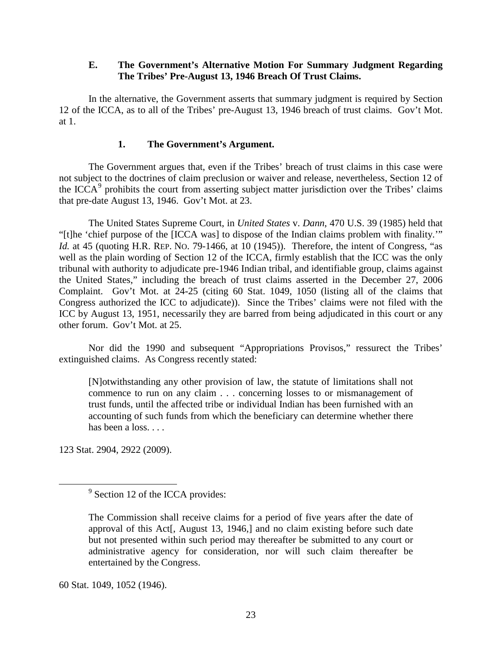## **E. The Government's Alternative Motion For Summary Judgment Regarding The Tribes' Pre-August 13, 1946 Breach Of Trust Claims.**

In the alternative, the Government asserts that summary judgment is required by Section 12 of the ICCA, as to all of the Tribes' pre-August 13, 1946 breach of trust claims. Gov't Mot. at 1.

## **1. The Government's Argument.**

The Government argues that, even if the Tribes' breach of trust claims in this case were not subject to the doctrines of claim preclusion or waiver and release, nevertheless, Section 12 of the ICCA $9$  prohibits the court from asserting subject matter jurisdiction over the Tribes' claims that pre-date August 13, 1946. Gov't Mot. at 23.

The United States Supreme Court, in *United States* v. *Dann*, 470 U.S. 39 (1985) held that "[t]he 'chief purpose of the [ICCA was] to dispose of the Indian claims problem with finality.'" *Id.* at 45 (quoting H.R. REP. No. 79-1466, at 10 (1945)). Therefore, the intent of Congress, "as well as the plain wording of Section 12 of the ICCA, firmly establish that the ICC was the only tribunal with authority to adjudicate pre-1946 Indian tribal, and identifiable group, claims against the United States," including the breach of trust claims asserted in the December 27, 2006 Complaint. Gov't Mot. at 24-25 (citing 60 Stat. 1049, 1050 (listing all of the claims that Congress authorized the ICC to adjudicate)). Since the Tribes' claims were not filed with the ICC by August 13, 1951, necessarily they are barred from being adjudicated in this court or any other forum. Gov't Mot. at 25.

Nor did the 1990 and subsequent "Appropriations Provisos," ressurect the Tribes' extinguished claims. As Congress recently stated:

[N]otwithstanding any other provision of law, the statute of limitations shall not commence to run on any claim . . . concerning losses to or mismanagement of trust funds, until the affected tribe or individual Indian has been furnished with an accounting of such funds from which the beneficiary can determine whether there has been a loss. . . .

<span id="page-22-0"></span>123 Stat. 2904, 2922 (2009).

60 Stat. 1049, 1052 (1946).

<sup>&</sup>lt;sup>9</sup> Section 12 of the ICCA provides:

The Commission shall receive claims for a period of five years after the date of approval of this Act[, August 13, 1946,] and no claim existing before such date but not presented within such period may thereafter be submitted to any court or administrative agency for consideration, nor will such claim thereafter be entertained by the Congress.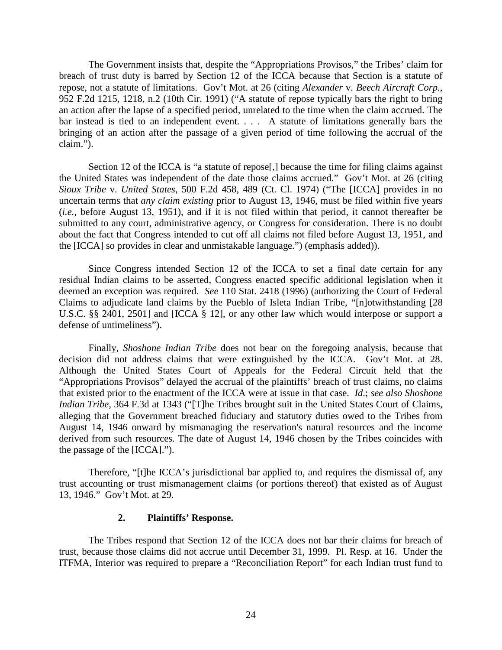The Government insists that, despite the "Appropriations Provisos," the Tribes' claim for breach of trust duty is barred by Section 12 of the ICCA because that Section is a statute of repose, not a statute of limitations. Gov't Mot. at 26 (citing *Alexander* v. *Beech Aircraft Corp.*, 952 F.2d 1215, 1218, n.2 (10th Cir. 1991) ("A statute of repose typically bars the right to bring an action after the lapse of a specified period, unrelated to the time when the claim accrued. The bar instead is tied to an independent event. . . . A statute of limitations generally bars the bringing of an action after the passage of a given period of time following the accrual of the claim.").

Section 12 of the ICCA is "a statute of repose<sup>[1]</sup>, because the time for filing claims against the United States was independent of the date those claims accrued." Gov't Mot. at 26 (citing *Sioux Tribe* v. *United States*, 500 F.2d 458, 489 (Ct. Cl. 1974) ("The [ICCA] provides in no uncertain terms that *any claim existing* prior to August 13, 1946, must be filed within five years (*i.e.*, before August 13, 1951), and if it is not filed within that period, it cannot thereafter be submitted to any court, administrative agency, or Congress for consideration. There is no doubt about the fact that Congress intended to cut off all claims not filed before August 13, 1951, and the [ICCA] so provides in clear and unmistakable language.") (emphasis added)).

Since Congress intended Section 12 of the ICCA to set a final date certain for any residual Indian claims to be asserted, Congress enacted specific additional legislation when it deemed an exception was required. *See* 110 Stat. 2418 (1996) (authorizing the Court of Federal Claims to adjudicate land claims by the Pueblo of Isleta Indian Tribe, "[n]otwithstanding [28 U.S.C. §§ 2401, 2501] and [ICCA § 12], or any other law which would interpose or support a defense of untimeliness").

Finally, *Shoshone Indian Tribe* does not bear on the foregoing analysis, because that decision did not address claims that were extinguished by the ICCA. Gov't Mot. at 28. Although the United States Court of Appeals for the Federal Circuit held that the "Appropriations Provisos" delayed the accrual of the plaintiffs' breach of trust claims, no claims that existed prior to the enactment of the ICCA were at issue in that case. *Id*.; *see also Shoshone Indian Tribe*, 364 F.3d at 1343 ("[T]he Tribes brought suit in the United States Court of Claims, alleging that the Government breached fiduciary and statutory duties owed to the Tribes from August 14, 1946 onward by mismanaging the reservation's natural resources and the income derived from such resources. The date of August 14, 1946 chosen by the Tribes coincides with the passage of the [ICCA].").

Therefore, "[t]he ICCA's jurisdictional bar applied to, and requires the dismissal of, any trust accounting or trust mismanagement claims (or portions thereof) that existed as of August 13, 1946." Gov't Mot. at 29.

#### **2. Plaintiffs' Response.**

The Tribes respond that Section 12 of the ICCA does not bar their claims for breach of trust, because those claims did not accrue until December 31, 1999. Pl. Resp. at 16. Under the ITFMA, Interior was required to prepare a "Reconciliation Report" for each Indian trust fund to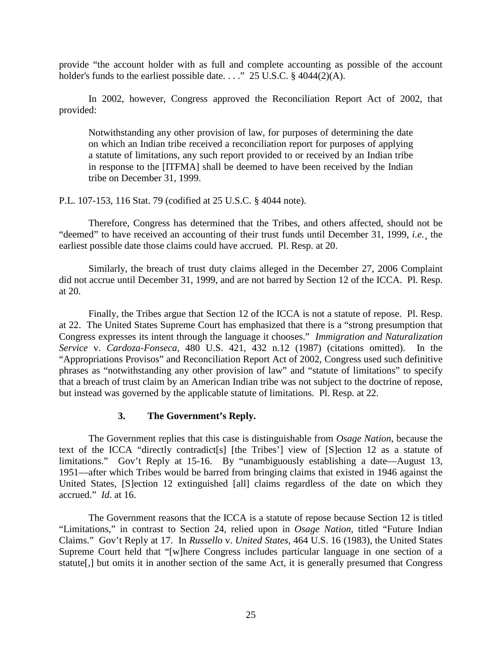provide "the account holder with as full and complete accounting as possible of the account holder's funds to the earliest possible date. . . ." 25 U.S.C. § 4044(2)(A).

In 2002, however, Congress approved the Reconciliation Report Act of 2002, that provided:

Notwithstanding any other provision of law, for purposes of determining the date on which an Indian tribe received a reconciliation report for purposes of applying a statute of limitations, any such report provided to or received by an Indian tribe in response to the [ITFMA] shall be deemed to have been received by the Indian tribe on December 31, 1999.

P.L. 107-153, 116 Stat. 79 (codified at 25 U.S.C. § 4044 note).

Therefore, Congress has determined that the Tribes, and others affected, should not be "deemed" to have received an accounting of their trust funds until December 31, 1999, *i.e.*¸ the earliest possible date those claims could have accrued. Pl. Resp. at 20.

Similarly, the breach of trust duty claims alleged in the December 27, 2006 Complaint did not accrue until December 31, 1999, and are not barred by Section 12 of the ICCA. Pl. Resp. at 20.

Finally, the Tribes argue that Section 12 of the ICCA is not a statute of repose. Pl. Resp. at 22. The United States Supreme Court has emphasized that there is a "strong presumption that Congress expresses its intent through the language it chooses." *Immigration and Naturalization Service* v. *Cardoza-Fonseca*, 480 U.S. 421, 432 n.12 (1987) (citations omitted). In the "Appropriations Provisos" and Reconciliation Report Act of 2002, Congress used such definitive phrases as "notwithstanding any other provision of law" and "statute of limitations" to specify that a breach of trust claim by an American Indian tribe was not subject to the doctrine of repose, but instead was governed by the applicable statute of limitations. Pl. Resp. at 22.

## **3. The Government's Reply.**

The Government replies that this case is distinguishable from *Osage Nation*, because the text of the ICCA "directly contradict[s] [the Tribes'] view of [S]ection 12 as a statute of limitations." Gov't Reply at 15-16. By "unambiguously establishing a date—August 13, 1951—after which Tribes would be barred from bringing claims that existed in 1946 against the United States, [S]ection 12 extinguished [all] claims regardless of the date on which they accrued." *Id*. at 16.

The Government reasons that the ICCA is a statute of repose because Section 12 is titled "Limitations," in contrast to Section 24, relied upon in *Osage Nation*, titled "Future Indian Claims." Gov't Reply at 17. In *Russello* v. *United States*, 464 U.S. 16 (1983), the United States Supreme Court held that "[w]here Congress includes particular language in one section of a statute[,] but omits it in another section of the same Act, it is generally presumed that Congress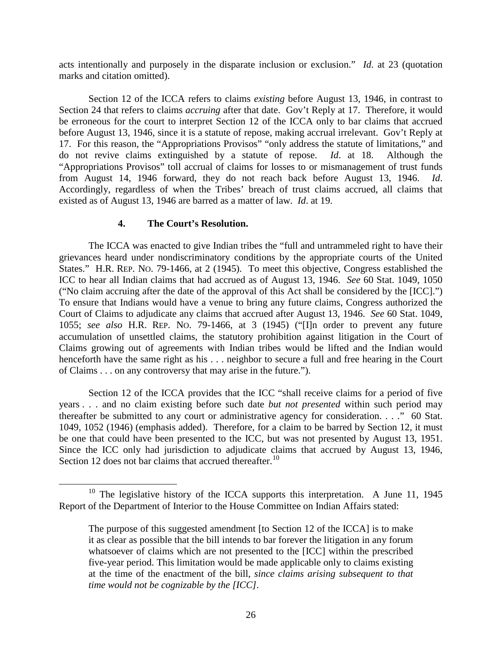acts intentionally and purposely in the disparate inclusion or exclusion." *Id*. at 23 (quotation marks and citation omitted).

Section 12 of the ICCA refers to claims *existing* before August 13, 1946, in contrast to Section 24 that refers to claims *accruing* after that date. Gov't Reply at 17. Therefore, it would be erroneous for the court to interpret Section 12 of the ICCA only to bar claims that accrued before August 13, 1946, since it is a statute of repose, making accrual irrelevant. Gov't Reply at 17. For this reason, the "Appropriations Provisos" "only address the statute of limitations," and do not revive claims extinguished by a statute of repose. *Id*. at 18. Although the "Appropriations Provisos" toll accrual of claims for losses to or mismanagement of trust funds from August 14, 1946 forward, they do not reach back before August 13, 1946. *Id*. Accordingly, regardless of when the Tribes' breach of trust claims accrued, all claims that existed as of August 13, 1946 are barred as a matter of law. *Id*. at 19.

## **4. The Court's Resolution.**

The ICCA was enacted to give Indian tribes the "full and untrammeled right to have their grievances heard under nondiscriminatory conditions by the appropriate courts of the United States." H.R. REP. NO. 79-1466, at 2 (1945). To meet this objective, Congress established the ICC to hear all Indian claims that had accrued as of August 13, 1946. *See* 60 Stat. 1049, 1050 ("No claim accruing after the date of the approval of this Act shall be considered by the [ICC].") To ensure that Indians would have a venue to bring any future claims, Congress authorized the Court of Claims to adjudicate any claims that accrued after August 13, 1946. *See* 60 Stat. 1049, 1055; *see also* H.R. REP. NO. 79-1466, at 3 (1945) ("[I]n order to prevent any future accumulation of unsettled claims, the statutory prohibition against litigation in the Court of Claims growing out of agreements with Indian tribes would be lifted and the Indian would henceforth have the same right as his . . . neighbor to secure a full and free hearing in the Court of Claims . . . on any controversy that may arise in the future.").

Section 12 of the ICCA provides that the ICC "shall receive claims for a period of five years . . . and no claim existing before such date *but not presented* within such period may thereafter be submitted to any court or administrative agency for consideration. . . ." 60 Stat. 1049, 1052 (1946) (emphasis added). Therefore, for a claim to be barred by Section 12, it must be one that could have been presented to the ICC, but was not presented by August 13, 1951. Since the ICC only had jurisdiction to adjudicate claims that accrued by August 13, 1946, Section 12 does not bar claims that accrued thereafter.<sup>[10](#page-25-0)</sup>

<span id="page-25-0"></span><sup>&</sup>lt;sup>10</sup> The legislative history of the ICCA supports this interpretation. A June 11, 1945 Report of the Department of Interior to the House Committee on Indian Affairs stated:

The purpose of this suggested amendment [to Section 12 of the ICCA] is to make it as clear as possible that the bill intends to bar forever the litigation in any forum whatsoever of claims which are not presented to the [ICC] within the prescribed five-year period. This limitation would be made applicable only to claims existing at the time of the enactment of the bill, *since claims arising subsequent to that time would not be cognizable by the [ICC].*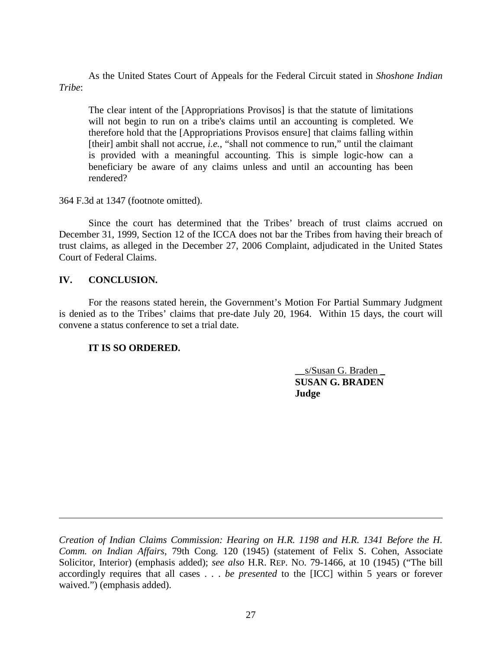As the United States Court of Appeals for the Federal Circuit stated in *Shoshone Indian Tribe*:

The clear intent of the [Appropriations Provisos] is that the statute of limitations will not begin to run on a tribe's claims until an accounting is completed. We therefore hold that the [Appropriations Provisos ensure] that claims falling within [their] ambit shall not accrue, *i.e.*, "shall not commence to run," until the claimant is provided with a meaningful accounting. This is simple logic-how can a beneficiary be aware of any claims unless and until an accounting has been rendered?

364 F.3d at 1347 (footnote omitted).

Since the court has determined that the Tribes' breach of trust claims accrued on December 31, 1999, Section 12 of the ICCA does not bar the Tribes from having their breach of trust claims, as alleged in the December 27, 2006 Complaint, adjudicated in the United States Court of Federal Claims.

## **IV. CONCLUSION.**

 $\overline{a}$ 

For the reasons stated herein, the Government's Motion For Partial Summary Judgment is denied as to the Tribes' claims that pre-date July 20, 1964. Within 15 days, the court will convene a status conference to set a trial date.

## **IT IS SO ORDERED.**

**\_\_**s/Susan G. Braden \_ **SUSAN G. BRADEN Judge**

*Creation of Indian Claims Commission: Hearing on H.R. 1198 and H.R. 1341 Before the H. Comm. on Indian Affairs*, 79th Cong. 120 (1945) (statement of Felix S. Cohen, Associate Solicitor, Interior) (emphasis added); *see also* H.R. REP. NO. 79-1466, at 10 (1945) ("The bill accordingly requires that all cases . . . *be presented* to the [ICC] within 5 years or forever waived.") (emphasis added).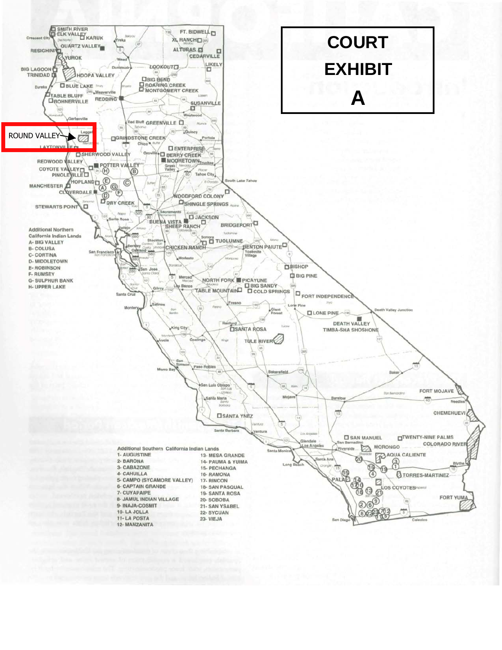